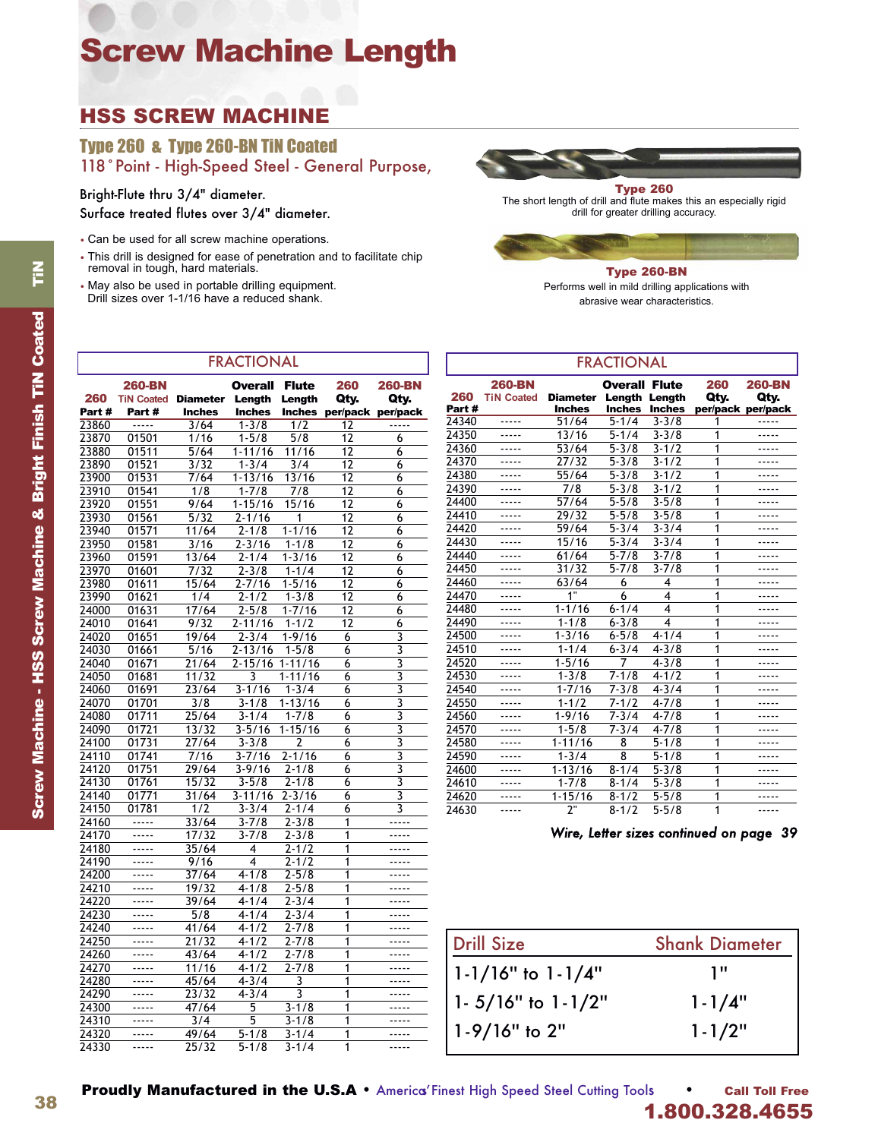# Screw Machine Length

## HSS SCREW MACHINE

#### Type 260 & Type 260-BN TiN Coated 118˚Point - High-Speed Steel - General Purpose,

Bright-Flute thru 3/4" diameter. Surface treated flutes over 3/4" diameter.

- Can be used for all screw machine operations.
- This drill is designed for ease of penetration and to facilitate chip removal in tough, hard materials.

**260-BN Overall Flute 260 260-BN**<br>"iN Coated Diameter Length Length Qty. Qty.

**Part # Part # Inches Inches Inches per/pack per/pack**<br>23860 ----- 3/64 1-3/8 1/2 12 -----2<u>3860 ----- 3/64 1-3/8 1/2 12 -----</u> 23870 01501 1/16 1-5/8 5/8 12 6 23880 01511 5/64 1-11/16 11/16 12 6<br>23890 01521 3/32 1-3/4 3/4 12 6 23890 01521 3/32 1-3/4 3/4 12 6 23900 01531 7/64 1-13/16 13/16 12 6 23910 01541 1/8 1-7/8 7/8 12 6 23920 01551 9/64 1-15/16 15/16 12 6<br>23930 01561 5/32 2-1/16 1 12 6<br>23940 01571 11/64 2-1/8 1-1/16 12 6 2<u>3930 01561 5/32 2-1/16 1 12 6</u> 23940 01571 11/64 2-1/8 1-1/16 12 6 23950 01581 3/16 2-3/16 1-1/8 12 6 23960 01591 13/64 2-1/4 1-3/16 12 6 23970 01601 7/32 2-3/8 1-1/4 12 6 23980 01611 15/64 2-7/16 1-5/16 12 6 23990 01621 1/4 2-1/2 1-3/8 12 6 24000 01631 17/64 2-5/8 1-7/16 12 6 24010 01641 9/32 2-11/16 1-1/2 12 6 24020 01651 19/64 2-3/4 1-9/16 6 3 24030 01661 5/16 2-13/16 1-5/8 6 3 24040 01671 21/64 2-15/16 1-11/16 6 3 24050 01681 11/32 3 1-11/16 6 3 24060 01691 23/64 3-1/16 1-3/4 6 3 24070 01701 3/8 3-1/8 1-13/16 6 3 24080 01711 25/64 3-1/4 1-7/8 6 3 24090 01721 13/32 3-5/16 1-15/16 6 3 24100 01731 27/64 3-3/8 2 6 3 24110 01741 7/16 3-7/16 2-1/16 6 3 24120 01751 29/64 3-9/16 2-1/8 6 3 24130 01761 15/32 3-5/8 2-1/8 6 3 24140 01771 31/64 3-11/16 2-3/16 6 3 24150 01781 1/2 3-3/4 2-1/4 6 3 24160 ----- 33/64 3-7/8 2-3/8 1 ----- 24170 ----- 17/32 3-7/8 2-3/8 1 ------24180 ----- 35/64 4 2-1/2 1 ----- 24190 ----- 9/16 4 2-1/2 1 ----- 24200 ----- 37/64 4-1/8 2-5/8 1 ----- 24210 ----- 19/32 4-1/8 2-5/8 1 ----- 24220 ----- 39/64 4-1/4 2-3/4 1 ----- 24230 ----- 5/8 4-1/4 2-3/4 1 ----- 24240 ----- 41/64 4-1/2 2-7/8 1 ----- 24250 ----- 21/32 4-1/2 2-7/8 1 ----- 24260 ----- 43/64 4-1/2 2-7/8 1 ----- 24270 ----- 11/16 4-1/2 2-7/8 1 ----- 24280 ----- 45/64 4-3/4 3 1 ----- 24290 ----- 23/32 4-3/4 3 1 ----- 24300 ----- 47/64 5 3-1/8 1 ----- 24310 ----- 3/4 5 3-1/8 1 ----- 24320 ----- 49/64 5-1/8 3-1/4 1 ----- 24330 ----- 25/32 5-1/8 3-1/4 1 -----

• May also be used in portable drilling equipment. Drill sizes over 1-1/16 have a reduced shank.

**260** TiN Coated Diameter Length Length<br>Part # Part # Inches Inches Inches



The short length of drill and flute makes this an especially rigid drill for greater drilling accuracy.



Performs well in mild drilling applications with abrasive wear characteristics.

#### FRACTIONAL FRACTIONAL

| 260<br>Part# | <b>260-BN</b><br><b>TiN Coated</b> | <b>Diameter</b><br><b>Inches</b> | <b>Overall Flute</b><br><b>Length Length</b><br><b>Inches</b> | <b>Inches</b> | 260<br>Qty. | <b>260-BN</b><br>Qty.<br>per/pack per/pack |
|--------------|------------------------------------|----------------------------------|---------------------------------------------------------------|---------------|-------------|--------------------------------------------|
| 24340        | -----                              | 51/64                            | $5 - 1/4$                                                     | $3 - 3/8$     | 1           | -----                                      |
| 24350        |                                    | 13/16                            | $5 - 1/4$                                                     | $3 - 3/8$     | 1           | -----                                      |
| 24360        | -----                              | 53/64                            | $5 - 3/8$                                                     | $3 - 1/2$     | 1           | -----                                      |
| 24370        |                                    | 27/32                            | $5 - 3/8$                                                     | $3 - 1/2$     | 1           |                                            |
| 24380        |                                    | 55/64                            | $5 - 3/8$                                                     | $3 - 1/2$     | 1           |                                            |
| 24390        |                                    | 7/8                              | $5 - 3/8$                                                     | $3 - 1/2$     | 1           |                                            |
| 24400        |                                    | 57/64                            | $5 - 5/8$                                                     | $3 - 5/8$     | 1           |                                            |
| 24410        |                                    | 29/32                            | $5 - 5/8$                                                     | $3 - 5/8$     | 1           |                                            |
| 24420        |                                    | 59/64                            | $5 - 3/4$                                                     | $3 - 3/4$     | 1           |                                            |
| 24430        |                                    | 15/16                            | $5 - 3/4$                                                     | $3 - 3/4$     | 1           |                                            |
| 24440        | -----                              | 61/64                            | $5 - 7/8$                                                     | $3 - 7/8$     | 1           |                                            |
| 24450        |                                    | 31/32                            | $5 - 7/8$                                                     | $3 - 7/8$     | 1           |                                            |
| 24460        |                                    | 63/64                            | 6                                                             | 4             | 1           |                                            |
| 24470        |                                    | 1"                               | 6                                                             | 4             | 1           |                                            |
| 24480        | -----                              | $1 - 1/16$                       | $6 - 1/4$                                                     | 4             | 1           | -----                                      |
| 24490        |                                    | $1 - 1/8$                        | $6 - 3/8$                                                     | 4             | 1           |                                            |
| 24500        |                                    | $1 - 3/16$                       | $6 - 5/8$                                                     | $4 - 1/4$     | 1           | -----                                      |
| 24510        |                                    | $1 - 1/4$                        | $6 - 3/4$                                                     | $4 - 3/8$     | 1           |                                            |
| 24520        | -----                              | $1 - 5/16$                       | 7                                                             | $4 - 3/8$     | 1           | -----                                      |
| 24530        |                                    | $1 - 3/8$                        | $7 - 1/8$                                                     | $4 - 1/2$     | 1           |                                            |
| 24540        |                                    | $1 - 7/16$                       | $7 - 3/8$                                                     | $4 - 3/4$     | 1           |                                            |
| 24550        |                                    | $1 - 1/2$                        | $7 - 1/2$                                                     | $4 - 7/8$     | 1           |                                            |
| 24560        |                                    | $1 - 9/16$                       | $7 - 3/4$                                                     | $4 - 7/8$     | 1           | .                                          |
| 24570        |                                    | $1 - 5/8$                        | $7 - 3/4$                                                     | $4 - 7/8$     | 1           |                                            |
| 24580        |                                    | $1 - 11/16$                      | 8                                                             | $5 - 1/8$     | 1           |                                            |
| 24590        |                                    | $1 - 3/4$                        | $\overline{8}$                                                | $5 - 1/8$     | 1           |                                            |
| 24600        | -----                              | $1 - 13/16$                      | $8 - 1/4$                                                     | $5 - 3/8$     | 1           | -----                                      |
| 24610        |                                    | $1 - 7/8$                        | $8 - 1/4$                                                     | $5 - 3/8$     | 1           |                                            |
| 24620        |                                    | $1 - 15/16$                      | $8 - 1/2$                                                     | $5 - 5/8$     | 1           |                                            |
| 24630        |                                    | $\overline{2}$ "                 | $8 - 1/2$                                                     | $5 - 5/8$     | 1           |                                            |

#### *Wire, Letter sizes continued on page 3 9*

| <b>Drill Size</b>         | <b>Shank Diameter</b> |
|---------------------------|-----------------------|
| $1 - 1/16"$ to $1 - 1/4"$ | יי 1                  |
| $1 - 5/16"$ to $1 - 1/2"$ | $1 - 1/4"$            |
| $1 - 9/16"$ to 2"         | $1 - 1/2"$            |
|                           |                       |

| こうしょう<br>í |  |
|------------|--|
|            |  |
|            |  |

E

#### Proudly Manufactured in the U.S.A • America' Finest High Speed Steel Cutting Tools • Call Toll Free 1.800.328.4655